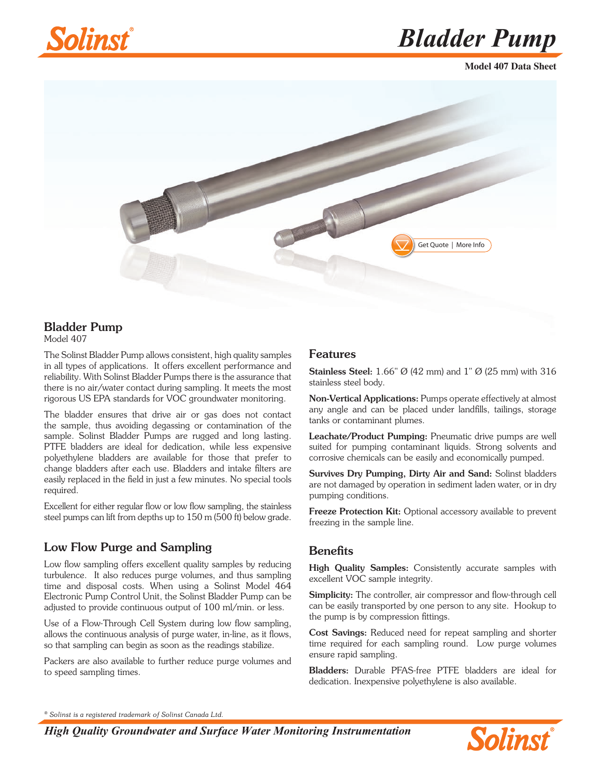

*Bladder Pump*

**Model 407 Data Sheet**



# Bladder Pump

Model 407

The Solinst Bladder Pump allows consistent, high quality samples in all types of applications. It offers excellent performance and reliability. With Solinst Bladder Pumps there is the assurance that there is no air/water contact during sampling. It meets the most rigorous US EPA standards for VOC groundwater monitoring.

The bladder ensures that drive air or gas does not contact the sample, thus avoiding degassing or contamination of the sample. Solinst Bladder Pumps are rugged and long lasting. PTFE bladders are ideal for dedication, while less expensive polyethylene bladders are available for those that prefer to change bladders after each use. Bladders and intake filters are easily replaced in the field in just a few minutes. No special tools required.

Excellent for either regular flow or low flow sampling, the stainless steel pumps can lift from depths up to 150 m (500 ft) below grade.

## Low Flow Purge and Sampling

Low flow sampling offers excellent quality samples by reducing turbulence. It also reduces purge volumes, and thus sampling time and disposal costs. When using a Solinst Model 464 Electronic Pump Control Unit, the Solinst Bladder Pump can be adjusted to provide continuous output of 100 ml/min. or less.

Use of a Flow-Through Cell System during low flow sampling, allows the continuous analysis of purge water, in-line, as it flows, so that sampling can begin as soon as the readings stabilize.

Packers are also available to further reduce purge volumes and to speed sampling times.

#### Features

Stainless Steel: 1.66" Ø (42 mm) and 1" Ø (25 mm) with 316 stainless steel body.

Non-Vertical Applications: Pumps operate effectively at almost any angle and can be placed under landfills, tailings, storage tanks or contaminant plumes.

Leachate/Product Pumping: Pneumatic drive pumps are well suited for pumping contaminant liquids. Strong solvents and corrosive chemicals can be easily and economically pumped.

Survives Dry Pumping, Dirty Air and Sand: Solinst bladders are not damaged by operation in sediment laden water, or in dry pumping conditions.

Freeze Protection Kit: Optional accessory available to prevent freezing in the sample line.

#### **Benefits**

High Quality Samples: Consistently accurate samples with excellent VOC sample integrity.

Simplicity: The controller, air compressor and flow-through cell can be easily transported by one person to any site. Hookup to the pump is by compression fittings.

Cost Savings: Reduced need for repeat sampling and shorter time required for each sampling round. Low purge volumes ensure rapid sampling.

Bladders: Durable PFAS-free PTFE bladders are ideal for dedication. Inexpensive polyethylene is also available.

*® Solinst is a registered trademark of Solinst Canada Ltd.*

*High Quality Groundwater and Surface Water Monitoring Instrumentation*

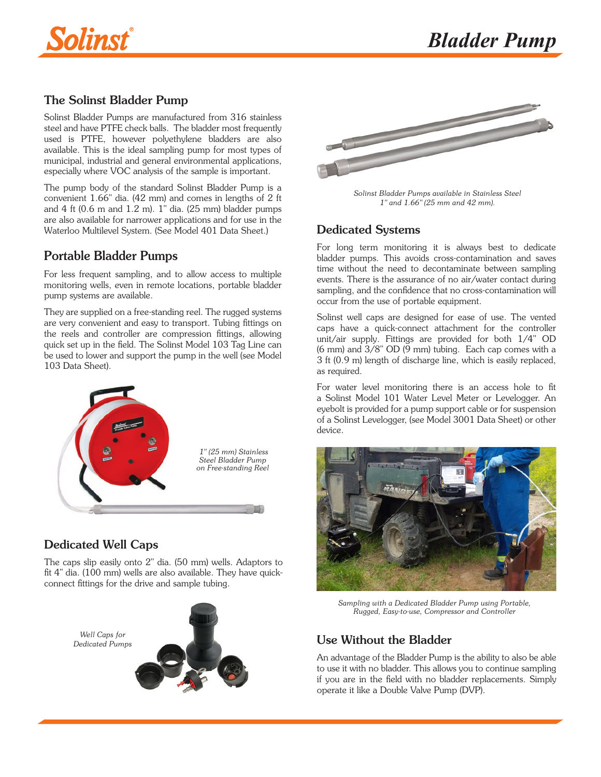

## The Solinst Bladder Pump

Solinst Bladder Pumps are manufactured from 316 stainless steel and have PTFE check balls. The bladder most frequently used is PTFE, however polyethylene bladders are also available. This is the ideal sampling pump for most types of municipal, industrial and general environmental applications, especially where VOC analysis of the sample is important.

The pump body of the standard Solinst Bladder Pump is a convenient 1.66" dia. (42 mm) and comes in lengths of 2 ft and  $4$  ft (0.6 m and  $1.2$  m).  $1$ " dia. (25 mm) bladder pumps are also available for nar[rower applications and for use in the](https://www.solinst.com/products/multilevel-systems-and-remediation/401-waterloo-multilevel-system/?utm_source=solinst-&utm_medium=WC-&utm_campaign=407-WC-&utm_term=GS-Global-&utm_content=DS-401-textlink) Waterloo Multilevel System. (See Model 401 Data Sheet.)

# Portable Bladder Pumps

For less frequent sampling, and to allow access to multiple monitoring wells, even in remote locations, portable bladder pump systems are available.

They are supplied on a free-standing reel. The rugged systems are very convenient and easy to transport. Tubing fittings on the reels and controller are compression fittings, allowing [quick set up in the field. The S](https://www.solinst.com/products/level-measurement-devices/103-tag-line/?utm_source=solinst-&utm_medium=WC-&utm_campaign=407-WC-&utm_term=GS-Global-&utm_content=DS-103-textlink)olinst Model 103 Tag Line can be used to lower and support the pump in the well (see Model 103 Data Sheet).



# Dedicated Well Caps

The caps slip easily onto 2" dia. (50 mm) wells. Adaptors to fit 4" dia. (100 mm) wells are also available. They have quickconnect fittings for the drive and sample tubing.





*Solinst Bladder Pumps available in Stainless Steel 1" and 1.66" (25 mm and 42 mm).*

## Dedicated Systems

For long term monitoring it is always best to dedicate bladder pumps. This avoids cross-contamination and saves time without the need to decontaminate between sampling events. There is the assurance of no air/water contact during sampling, and the confidence that no cross-contamination will occur from the use of portable equipment.

Solinst well caps are designed for ease of use. The vented caps have a quick-connect attachment for the controller unit/air supply. Fittings are provided for both 1/4" OD (6 mm) and 3/8" OD (9 mm) tubing. Each cap comes with a 3 ft (0.9 m) length of discharge line, which is easily replaced, as required.

F[or water level monitoring there is an a](https://www.solinst.com/products/level-measurement-devices/101-water-level-meter/?utm_source=solinst-&utm_medium=WC-&utm_campaign=407-WC-&utm_term=GS-Global-&utm_content=DS-101-textlink)ccess hole to fit a Solinst Model 101 Water Level Meter or Levelogger. An eyebolt is provided for a pump support cable or for suspension of a [Solinst Levelogger, \(see Model 3001 Data Sheet\) or other](https://www.solinst.com/products/dataloggers-and-telemetry/3001-levelogger-series/levelogger-edge/?utm_source=solinst-&utm_medium=WC-&utm_campaign=407-WC-&utm_term=GS-Global-&utm_content=DS-3001-textlink)  device.



*Sampling with a Dedicated Bladder Pump using Portable, Rugged, Easy-to-use, Compressor and Controller*

## *Dedicated Pumps* Use Without the Bladder

An advantage of the Bladder Pump is the ability to also be able to use it with no bladder. This allows you to continue sampling if you are in the field with no bladder replacements. Simply operate it like a Double Valve Pump (DVP).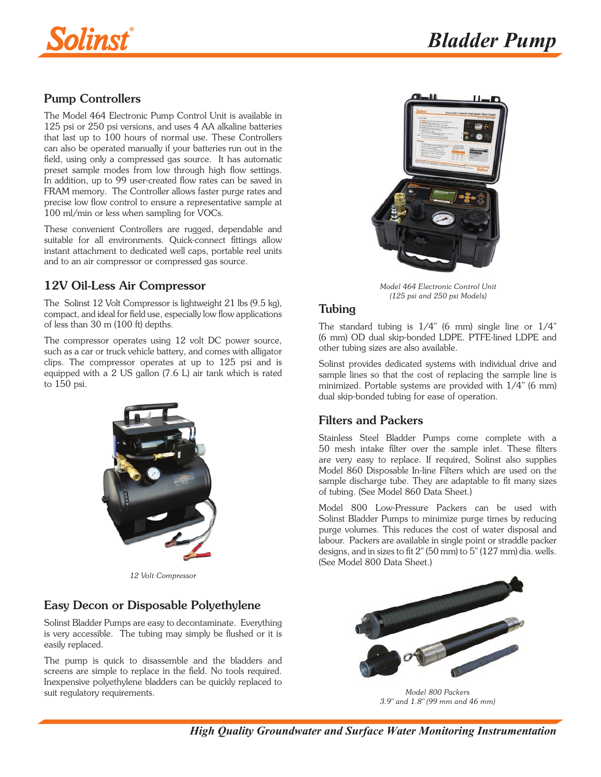

# Pump Controllers

The Model 464 Electronic Pump Control Unit is available in 125 psi or 250 psi versions, and uses 4 AA alkaline batteries that last up to 100 hours of normal use. These Controllers can also be operated manually if your batteries run out in the field, using only a compressed gas source. It has automatic preset sample modes from low through high flow settings. [In addition, up to 99 user-created flow rates can be saved in](https://www.solinst.com/products/groundwater-samplers/464-pneumatic-pump-control-units/?utm_source=solinst-&utm_medium=WC-&utm_campaign=407-WC-&utm_term=GS-Global-&utm_content=DS-464-textlink)  FRAM memory. The Controller allows faster purge rates and precise low flow control to ensure a representative sample at 100 ml/min or less when sampling for VOCs.

These convenient Controllers are rugged, dependable and suitable for all environments. Quick-connect fittings allow instant attachment to dedicated well caps, portable reel units and to an air compressor or compressed gas source.

# 12V Oil-Less Air Compressor

The Solinst 12 Volt Compressor is lightweight 21 lbs (9.5 kg), compact, and ideal for field use, especially low flow applications of less than 30 m (100 ft) depths.

The compressor operates using 12 volt DC power source, such as a car or truck vehicle battery, and comes with alligator clips. The compressor operates at up to 125 psi and is [equipped with a 2 US gallon \(7.6 L\) air tank which is rated](https://www.solinst.com/products/groundwater-samplers/407-bladder-pumps/datasheet/pump-controllers-compressors.php?utm_source=solinst-&utm_medium=WC-&utm_campaign=407-WC-&utm_term=GS-Global-&utm_content=DS-40712V-textlink)  to 150 psi.



*12 Volt Compressor*

# Easy Decon or Disposable Polyethylene

Solinst Bladder Pumps are easy to decontaminate. Everything is very accessible. The tubing may simply be flushed or it is easily replaced.

The pump is quick to disassemble and the bladders and screens are simple to replace in the field. No tools required. Inexpensive polyethylene bladders can be quickly replaced to suit regulatory requirements.



*Model 464 Electronic Control Unit (125 psi and 250 psi Models)*

#### Tubing

The standard tubing is  $1/4$ " (6 mm) single line or  $1/4$ " (6 mm) OD dual skip-bonded LDPE. PTFE-lined LDPE and other tubing sizes are also available.

Solinst provides dedicated systems with individual drive and sample lines so that the cost of replacing the sample line is minimized. Portable systems are provided with 1/4" (6 mm) dual skip-bonded tubing for ease of operation.

## Filters and Packers

Stainless Steel Bladder Pumps come complete with a 50 mesh intake filter over the sample inlet. These filters are very easy to replace. If required, Solinst also supplies Model 860 Disposable In-line Filters which are used on the [sample discharge tube. They are adaptable to fit many sizes](https://www.solinst.com/products/groundwater-samplers/860-disposable-in-line-filters/?utm_source=solinst-&utm_medium=WC-&utm_campaign=407-WC-&utm_term=GS-Global-&utm_content=DS-860-textlink)  of tubing. (See Model 860 Data Sheet.)

Model 800 Low-Pressure Packers can be used with Solinst Bladder Pumps to minimize purge times by reducing purge volumes. This reduces the cost of water disposal and [labour. Packers are available in s](https://www.solinst.com/products/groundwater-samplers/800-low-pressure-packers/?utm_source=solinst-&utm_medium=WC-&utm_campaign=407-WC-&utm_term=GS-Global-&utm_content=DS-800-textlink)ingle point or straddle packer designs, and in sizes to fit 2" (50 mm) to 5" (127 mm) dia. wells. (See Model 800 Data Sheet.)



*Model 800 Packers 3.9" and 1.8" (99 mm and 46 mm)*

*High Quality Groundwater and Surface Water Monitoring Instrumentation*